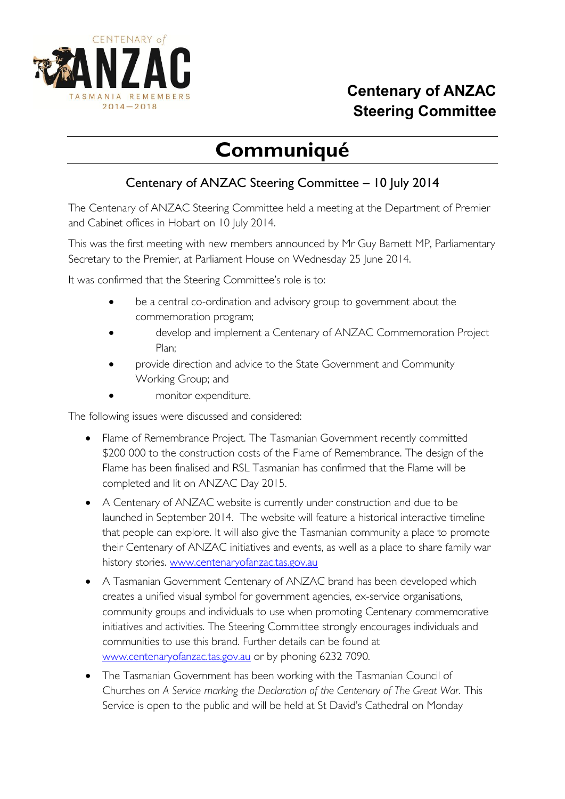

## **Centenary of ANZAC Steering Committee**

## **Communiqué**

## Centenary of ANZAC Steering Committee – 10 July 2014

The Centenary of ANZAC Steering Committee held a meeting at the Department of Premier and Cabinet offices in Hobart on 10 July 2014.

This was the first meeting with new members announced by Mr Guy Barnett MP, Parliamentary Secretary to the Premier, at Parliament House on Wednesday 25 June 2014.

It was confirmed that the Steering Committee's role is to:

- be a central co-ordination and advisory group to government about the commemoration program;
- develop and implement a Centenary of ANZAC Commemoration Project Plan;
- provide direction and advice to the State Government and Community Working Group; and
- monitor expenditure.

The following issues were discussed and considered:

- Flame of Remembrance Project. The Tasmanian Government recently committed \$200 000 to the construction costs of the Flame of Remembrance. The design of the Flame has been finalised and RSL Tasmanian has confirmed that the Flame will be completed and lit on ANZAC Day 2015.
- A Centenary of ANZAC website is currently under construction and due to be launched in September 2014. The website will feature a historical interactive timeline that people can explore. It will also give the Tasmanian community a place to promote their Centenary of ANZAC initiatives and events, as well as a place to share family war history stories. [www.centenaryofanzac.tas.gov.au](http://www.centenaryofanzac.tas.gov.au/)
- A Tasmanian Government Centenary of ANZAC brand has been developed which creates a unified visual symbol for government agencies, ex-service organisations, community groups and individuals to use when promoting Centenary commemorative initiatives and activities. The Steering Committee strongly encourages individuals and communities to use this brand. Further details can be found at [www.centenaryofanzac.tas.gov.au](http://www.centenaryofanzac.tas.gov.au/) or by phoning 6232 7090.
- The Tasmanian Government has been working with the Tasmanian Council of Churches on *A Service marking the Declaration of the Centenary of The Great War.* This Service is open to the public and will be held at St David's Cathedral on Monday